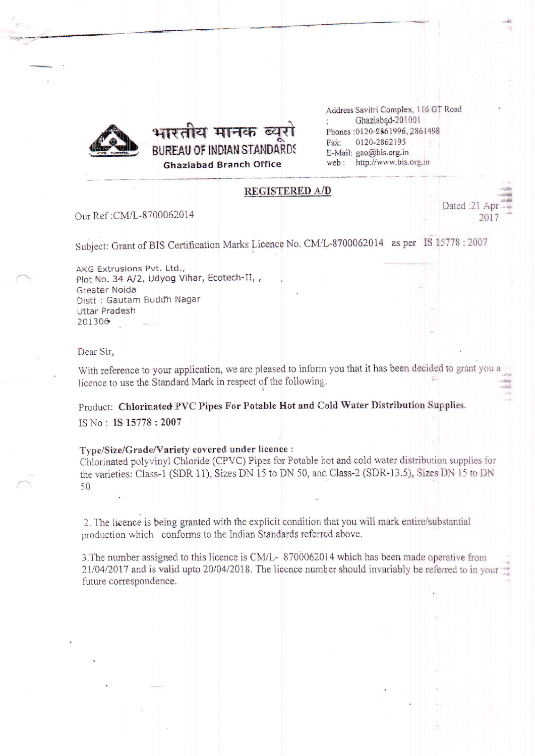

Address Savitri Complex, 116 GT Road Ghaziabad-201001 Phones: 0120-2861996, 2861498 0120-2862195 Fax: E-Mail: gzo@bis.org.in web: http://www.bis.org.in

## REGISTERED A/D

Our Ref: CM/L-8700062014

Dated :21 Apr  $201'$ 

Subject: Grant of BIS Certification Marks Licence No. CM/L-8700062014 as per IS 15778 : 2007

AKG Extrusions Pvt. Ltd., Plot No. 34 A/2, Udyog Vihar, Ecotech-II, , Greater Noida Distt : Gautam Buddh Nagar Uttar Pradesh 201306

भारतीय मानक ब

BUREAU OF INDIAN STANDARDS

**Ghaziahad Branch Office** 

Dear Sir,

With reference to your application, we are pleased to inform you that it has been decided to grant you a licence to use the Standard Mark in respect of the following:

Product: Chlorinated PVC Pipes For Potable Hot and Cold Water Distribution Supplies. IS No: IS 15778:2007

## Type/Size/Grade/Variety covered under licence :

Chlorinated polyvinyl Chloride (CPVC) Pipes for Potable hot and cold water distribution supplies for the varieties: Class-1 (SDR 11), Sizes DN 15 to DN 50, and Class-2 (SDR-13.5), Sizes DN 15 to DN 50

2. The licence is being granted with the explicit condition that you will mark entire/substantial production which conforms to the Indian Standards referred above.

3. The number assigned to this licence is CM/L-8700062014 which has been made operative from 21/04/2017 and is valid upto 20/04/2018. The licence number should invariably be referred to in your future correspondence.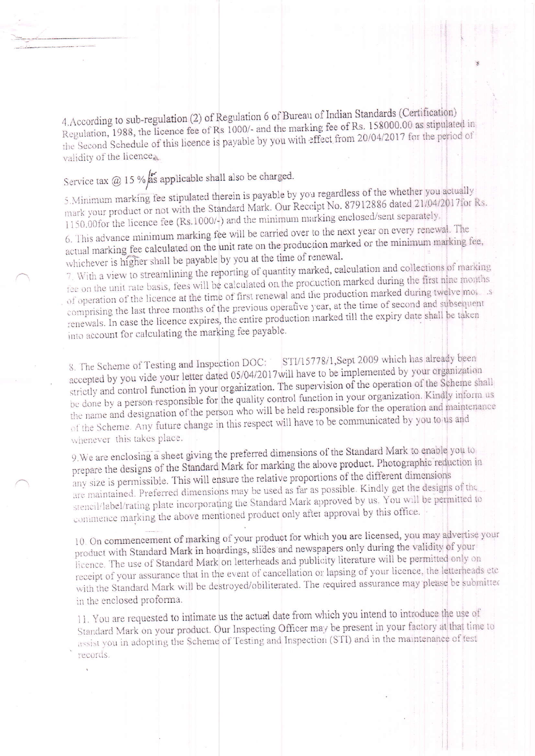4. According to sub-regulation (2) of Regulation 6 of Bureau of Indian Standards (Certification) Regulation, 1988, the licence fee of Rs 1000/- and the marking fee of Rs. 158000.00 as stipulated in the Second Schedule of this licence is payable by you with effect from 20/04/2017 for the period of validity of the licence.

Service tax @ 15 % as applicable shall also be charged.

5. Minimum marking fee stipulated therein is payable by you regardless of the whether you actually mark your product or not with the Standard Mark. Our Receipt No. 87912886 dated 21/04/2017 for Rs. 1150.00for the licence fee (Rs.1000/-) and the minimum marking enclosed/sent separately.

6. This advance minimum marking fee will be carried over to the next year on every renewal. The actual marking fee calculated on the unit rate on the production marked or the minimum marking fee, whichever is higher shall be payable by you at the time of renewal.

7. With a view to streamlining the reporting of quantity marked, calculation and collections of marking fee on the unit rate basis, fees will be calculated on the procuction marked during the first nine months of operation of the licence at the time of first renewal and the production marked during twelve mot s comprising the last three months of the previous operative year, at the time of second and subsequent renewals. In case the licence expires, the entire production marked till the expiry date shall be taken into account for calculating the marking fee payable.

STI/15778/1, Sept 2009 which has already been 8. The Scheme of Testing and Inspection DOC: accepted by you vide your letter dated 05/04/2017 will have to be implemented by your organization strictly and control function in your organization. The supervision of the operation of the Scheme shall be done by a person responsible for the quality control function in your organization. Kindly inform us the name and designation of the person who will be held responsible for the operation and maintenance of the Scheme. Any future change in this respect will have to be communicated by you to us and whenever this takes place.

9. We are enclosing a sheet giving the preferred dimensions of the Standard Mark to enable you to prepare the designs of the Standard Mark for marking the above product. Photographic reduction in any size is permissible. This will ensure the relative proportions of the different dimensions are maintained. Preferred dimensions may be used as far as possible. Kindly get the designs of the stencil/label/rating plate incorporating the Standard Mark approved by us. You will be permitted to conimence marking the above mentioned product only after approval by this office.

10. On commencement of marking of your product for which you are licensed, you may advertise your product with Standard Mark in hoardings, slides and newspapers only during the validity of your licence. The use of Standard Mark on letterheads and publicity literature will be permitted only on receipt of your assurance that in the event of cancellation or lapsing of your licence, the letterheads etc with the Standard Mark will be destroyed/obiliterated. The required assurance may please be submitted in the enclosed proforma.

11. You are requested to intimate us the actual date from which you intend to introduce the use of Standard Mark on your product. Our Inspecting Officer may be present in your factory at that time to assist you in adopting the Scheme of Testing and Inspection (STI) and in the maintenance of test records.